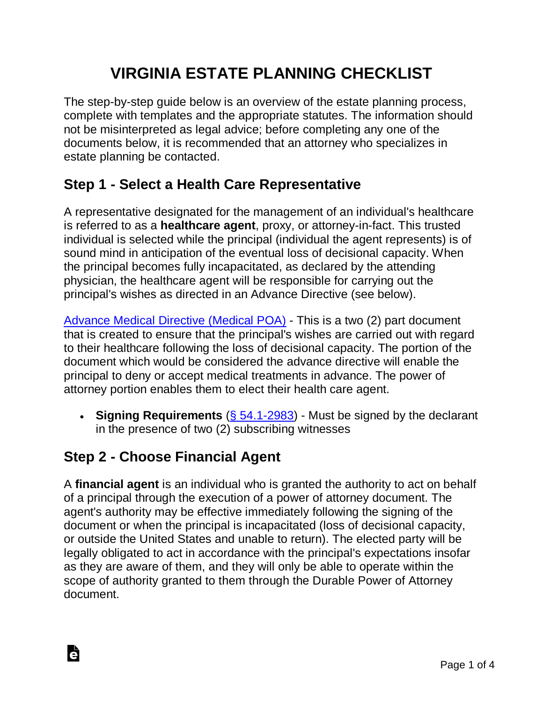# **VIRGINIA ESTATE PLANNING CHECKLIST**

The step-by-step guide below is an overview of the estate planning process, complete with templates and the appropriate statutes. The information should not be misinterpreted as legal advice; before completing any one of the documents below, it is recommended that an attorney who specializes in estate planning be contacted.

### **Step 1 - Select a Health Care Representative**

A representative designated for the management of an individual's healthcare is referred to as a **healthcare agent**, proxy, or attorney-in-fact. This trusted individual is selected while the principal (individual the agent represents) is of sound mind in anticipation of the eventual loss of decisional capacity. When the principal becomes fully incapacitated, as declared by the attending physician, the healthcare agent will be responsible for carrying out the principal's wishes as directed in an Advance Directive (see below).

[Advance Medical Directive \(Medical POA\)](https://eforms.com/power-of-attorney/va/virginia-advance-medical-directive/) - This is a two (2) part document that is created to ensure that the principal's wishes are carried out with regard to their healthcare following the loss of decisional capacity. The portion of the document which would be considered the advance directive will enable the principal to deny or accept medical treatments in advance. The power of attorney portion enables them to elect their health care agent.

• **Signing Requirements** [\(§ 54.1-2983\)](https://law.lis.virginia.gov/vacode/title54.1/chapter29/section54.1-2983/) - Must be signed by the declarant in the presence of two (2) subscribing witnesses

### **Step 2 - Choose Financial Agent**

Ġ

A **financial agent** is an individual who is granted the authority to act on behalf of a principal through the execution of a power of attorney document. The agent's authority may be effective immediately following the signing of the document or when the principal is incapacitated (loss of decisional capacity, or outside the United States and unable to return). The elected party will be legally obligated to act in accordance with the principal's expectations insofar as they are aware of them, and they will only be able to operate within the scope of authority granted to them through the Durable Power of Attorney document.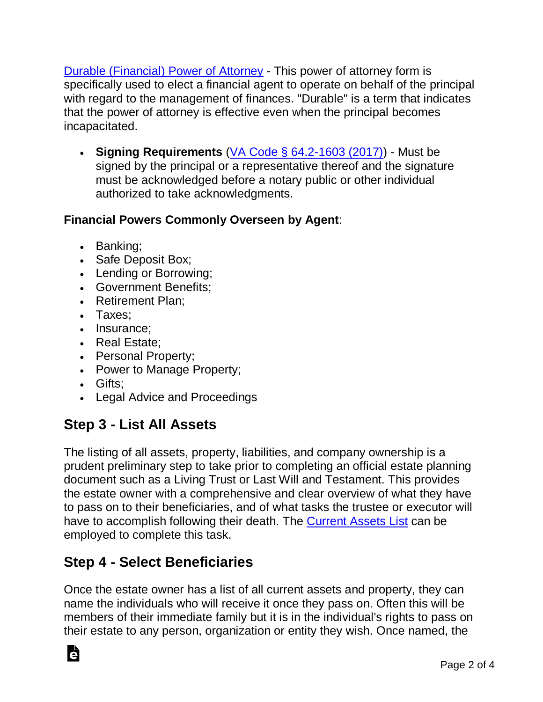[Durable \(Financial\) Power of Attorney](https://eforms.com/power-of-attorney/va/virginia-durable-power-of-attorney/) - This power of attorney form is specifically used to elect a financial agent to operate on behalf of the principal with regard to the management of finances. "Durable" is a term that indicates that the power of attorney is effective even when the principal becomes incapacitated.

• **Signing Requirements** [\(VA Code § 64.2-1603 \(2017\)\)](https://law.lis.virginia.gov/vacode/title64.2/chapter16/section64.2-1603/) - Must be signed by the principal or a representative thereof and the signature must be acknowledged before a notary public or other individual authorized to take acknowledgments.

#### **Financial Powers Commonly Overseen by Agent**:

- Banking;
- Safe Deposit Box;
- Lending or Borrowing;
- Government Benefits;
- Retirement Plan:
- Taxes;
- Insurance;
- Real Estate;
- Personal Property;
- Power to Manage Property;
- Gifts;

Ġ

• Legal Advice and Proceedings

#### **Step 3 - List All Assets**

The listing of all assets, property, liabilities, and company ownership is a prudent preliminary step to take prior to completing an official estate planning document such as a Living Trust or Last Will and Testament. This provides the estate owner with a comprehensive and clear overview of what they have to pass on to their beneficiaries, and of what tasks the trustee or executor will have to accomplish following their death. The [Current Assets List](https://eforms.com/estate-planning/current-assets-list/) can be employed to complete this task.

#### **Step 4 - Select Beneficiaries**

Once the estate owner has a list of all current assets and property, they can name the individuals who will receive it once they pass on. Often this will be members of their immediate family but it is in the individual's rights to pass on their estate to any person, organization or entity they wish. Once named, the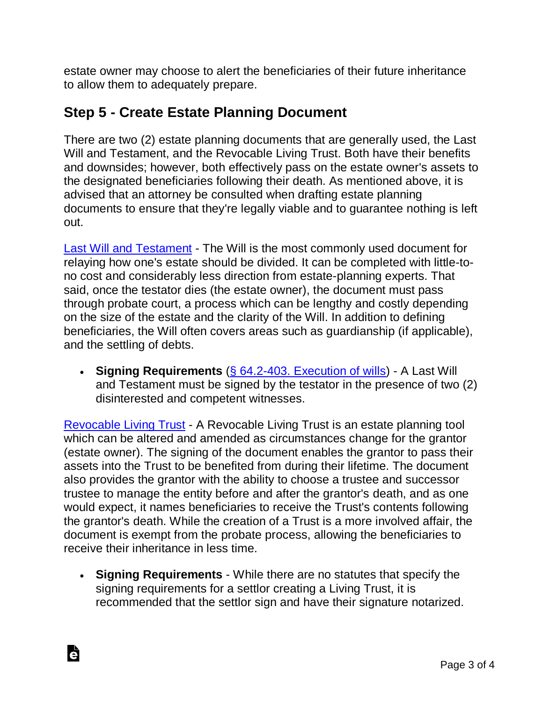estate owner may choose to alert the beneficiaries of their future inheritance to allow them to adequately prepare.

#### **Step 5 - Create Estate Planning Document**

There are two (2) estate planning documents that are generally used, the Last Will and Testament, and the Revocable Living Trust. Both have their benefits and downsides; however, both effectively pass on the estate owner's assets to the designated beneficiaries following their death. As mentioned above, it is advised that an attorney be consulted when drafting estate planning documents to ensure that they're legally viable and to guarantee nothing is left out.

[Last Will and Testament](https://eforms.com/wills/virginia-last-will-and-testament-template/) - The Will is the most commonly used document for relaying how one's estate should be divided. It can be completed with little-tono cost and considerably less direction from estate-planning experts. That said, once the testator dies (the estate owner), the document must pass through probate court, a process which can be lengthy and costly depending on the size of the estate and the clarity of the Will. In addition to defining beneficiaries, the Will often covers areas such as guardianship (if applicable), and the settling of debts.

• **Signing Requirements** [\(§ 64.2-403. Execution of wills\)](https://law.lis.virginia.gov/vacode/title64.2/chapter4/section64.2-403/) - A Last Will and Testament must be signed by the testator in the presence of two (2) disinterested and competent witnesses.

[Revocable Living Trust](https://eforms.com/living-trust/va/virginia-revocable-living-trust-form/) - A Revocable Living Trust is an estate planning tool which can be altered and amended as circumstances change for the grantor (estate owner). The signing of the document enables the grantor to pass their assets into the Trust to be benefited from during their lifetime. The document also provides the grantor with the ability to choose a trustee and successor trustee to manage the entity before and after the grantor's death, and as one would expect, it names beneficiaries to receive the Trust's contents following the grantor's death. While the creation of a Trust is a more involved affair, the document is exempt from the probate process, allowing the beneficiaries to receive their inheritance in less time.

• **Signing Requirements** - While there are no statutes that specify the signing requirements for a settlor creating a Living Trust, it is recommended that the settlor sign and have their signature notarized.

Ġ